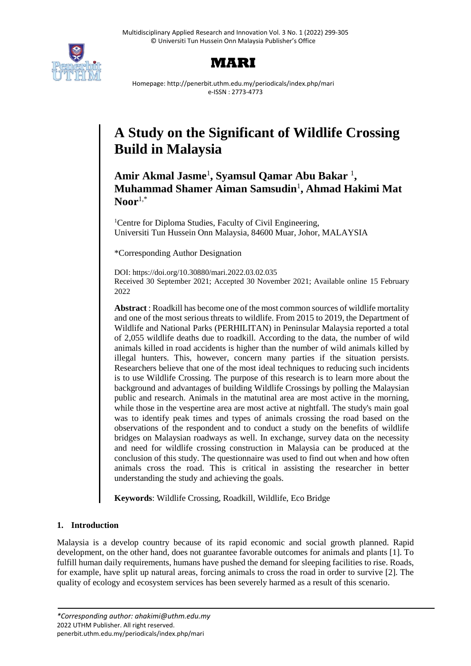



Homepage: http://penerbit.uthm.edu.my/periodicals/index.php/mari e-ISSN : 2773-4773

# **A Study on the Significant of Wildlife Crossing Build in Malaysia**

**Amir Akmal Jasme**<sup>1</sup> **, Syamsul Qamar Abu Bakar** <sup>1</sup> **, Muhammad Shamer Aiman Samsudin**<sup>1</sup> **, Ahmad Hakimi Mat Noor**1,\*

<sup>1</sup>Centre for Diploma Studies, Faculty of Civil Engineering, Universiti Tun Hussein Onn Malaysia, 84600 Muar, Johor, MALAYSIA

\*Corresponding Author Designation

DOI: https://doi.org/10.30880/mari.2022.03.02.035 Received 30 September 2021; Accepted 30 November 2021; Available online 15 February 2022

**Abstract** : Roadkill has become one of the most common sources of wildlife mortality and one of the most serious threats to wildlife. From 2015 to 2019, the Department of Wildlife and National Parks (PERHILITAN) in Peninsular Malaysia reported a total of 2,055 wildlife deaths due to roadkill. According to the data, the number of wild animals killed in road accidents is higher than the number of wild animals killed by illegal hunters. This, however, concern many parties if the situation persists. Researchers believe that one of the most ideal techniques to reducing such incidents is to use Wildlife Crossing. The purpose of this research is to learn more about the background and advantages of building Wildlife Crossings by polling the Malaysian public and research. Animals in the matutinal area are most active in the morning, while those in the vespertine area are most active at nightfall. The study's main goal was to identify peak times and types of animals crossing the road based on the observations of the respondent and to conduct a study on the benefits of wildlife bridges on Malaysian roadways as well. In exchange, survey data on the necessity and need for wildlife crossing construction in Malaysia can be produced at the conclusion of this study. The questionnaire was used to find out when and how often animals cross the road. This is critical in assisting the researcher in better understanding the study and achieving the goals.

**Keywords**: Wildlife Crossing, Roadkill, Wildlife, Eco Bridge

# **1. Introduction**

Malaysia is a develop country because of its rapid economic and social growth planned. Rapid development, on the other hand, does not guarantee favorable outcomes for animals and plants [1]. To fulfill human daily requirements, humans have pushed the demand for sleeping facilities to rise. Roads, for example, have split up natural areas, forcing animals to cross the road in order to survive [2]. The quality of ecology and ecosystem services has been severely harmed as a result of this scenario.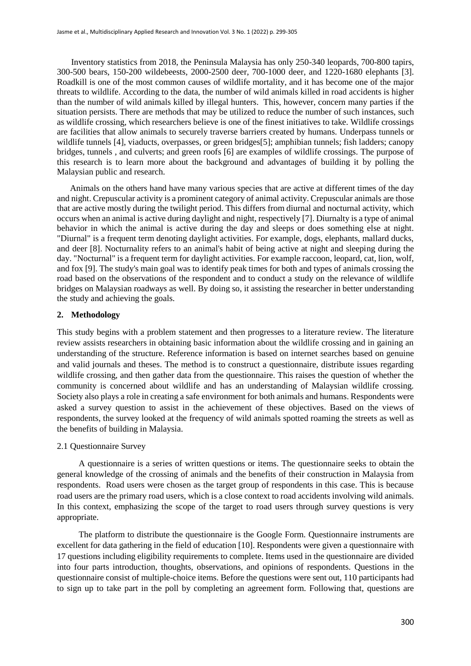Inventory statistics from 2018, the Peninsula Malaysia has only 250-340 leopards, 700-800 tapirs, 300-500 bears, 150-200 wildebeests, 2000-2500 deer, 700-1000 deer, and 1220-1680 elephants [3]. Roadkill is one of the most common causes of wildlife mortality, and it has become one of the major threats to wildlife. According to the data, the number of wild animals killed in road accidents is higher than the number of wild animals killed by illegal hunters. This, however, concern many parties if the situation persists. There are methods that may be utilized to reduce the number of such instances, such as wildlife crossing, which researchers believe is one of the finest initiatives to take. Wildlife crossings are facilities that allow animals to securely traverse barriers created by humans. Underpass tunnels or wildlife tunnels [4], viaducts, overpasses, or green bridges[5]; amphibian tunnels; fish ladders; canopy bridges, tunnels , and culverts; and green roofs [6] are examples of wildlife crossings. The purpose of this research is to learn more about the background and advantages of building it by polling the Malaysian public and research.

Animals on the others hand have many various species that are active at different times of the day and night. Crepuscular activity is a prominent category of animal activity. Crepuscular animals are those that are active mostly during the twilight period. This differs from diurnal and nocturnal activity, which occurs when an animal is active during daylight and night, respectively [7]. Diurnalty is a type of animal behavior in which the animal is active during the day and sleeps or does something else at night. "Diurnal" is a frequent term denoting daylight activities. For example, dogs, elephants, mallard ducks, and deer [8]. Nocturnality refers to an animal's habit of being active at night and sleeping during the day. "Nocturnal" is a frequent term for daylight activities. For example raccoon, leopard, cat, lion, wolf, and fox [9]. The study's main goal was to identify peak times for both and types of animals crossing the road based on the observations of the respondent and to conduct a study on the relevance of wildlife bridges on Malaysian roadways as well. By doing so, it assisting the researcher in better understanding the study and achieving the goals.

#### **2. Methodology**

This study begins with a problem statement and then progresses to a literature review. The literature review assists researchers in obtaining basic information about the wildlife crossing and in gaining an understanding of the structure. Reference information is based on internet searches based on genuine and valid journals and theses. The method is to construct a questionnaire, distribute issues regarding wildlife crossing, and then gather data from the questionnaire. This raises the question of whether the community is concerned about wildlife and has an understanding of Malaysian wildlife crossing. Society also plays a role in creating a safe environment for both animals and humans. Respondents were asked a survey question to assist in the achievement of these objectives. Based on the views of respondents, the survey looked at the frequency of wild animals spotted roaming the streets as well as the benefits of building in Malaysia.

#### 2.1 Questionnaire Survey

A questionnaire is a series of written questions or items. The questionnaire seeks to obtain the general knowledge of the crossing of animals and the benefits of their construction in Malaysia from respondents. Road users were chosen as the target group of respondents in this case. This is because road users are the primary road users, which is a close context to road accidents involving wild animals. In this context, emphasizing the scope of the target to road users through survey questions is very appropriate.

The platform to distribute the questionnaire is the Google Form. Questionnaire instruments are excellent for data gathering in the field of education [10]. Respondents were given a questionnaire with 17 questions including eligibility requirements to complete. Items used in the questionnaire are divided into four parts introduction, thoughts, observations, and opinions of respondents. Questions in the questionnaire consist of multiple-choice items. Before the questions were sent out, 110 participants had to sign up to take part in the poll by completing an agreement form. Following that, questions are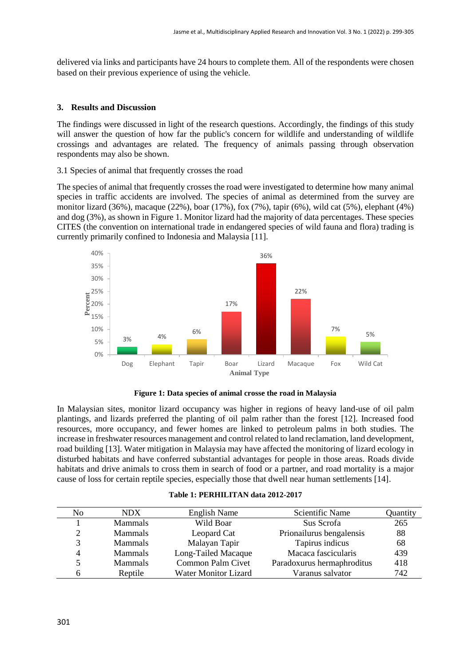delivered via links and participants have 24 hours to complete them. All of the respondents were chosen based on their previous experience of using the vehicle.

#### **3. Results and Discussion**

The findings were discussed in light of the research questions. Accordingly, the findings of this study will answer the question of how far the public's concern for wildlife and understanding of wildlife crossings and advantages are related. The frequency of animals passing through observation respondents may also be shown.

3.1 Species of animal that frequently crosses the road

The species of animal that frequently crosses the road were investigated to determine how many animal species in traffic accidents are involved. The species of animal as determined from the survey are monitor lizard (36%), macaque (22%), boar (17%), fox (7%), tapir (6%), wild cat (5%), elephant (4%) and dog (3%), as shown in Figure 1. Monitor lizard had the majority of data percentages. These species CITES (the convention on international trade in endangered species of wild fauna and flora) trading is currently primarily confined to Indonesia and Malaysia [11].



**Figure 1: Data species of animal crosse the road in Malaysia**

In Malaysian sites, monitor lizard occupancy was higher in regions of heavy land-use of oil palm plantings, and lizards preferred the planting of oil palm rather than the forest [12]. Increased food resources, more occupancy, and fewer homes are linked to petroleum palms in both studies. The increase in freshwater resources management and control related to land reclamation, land development, road building [13]. Water mitigation in Malaysia may have affected the monitoring of lizard ecology in disturbed habitats and have conferred substantial advantages for people in those areas. Roads divide habitats and drive animals to cross them in search of food or a partner, and road mortality is a major cause of loss for certain reptile species, especially those that dwell near human settlements [14].

|  | Table 1: PERHILITAN data 2012-2017 |  |
|--|------------------------------------|--|
|--|------------------------------------|--|

| No            | NDX.           | English Name                | Scientific Name            | Quantity |
|---------------|----------------|-----------------------------|----------------------------|----------|
|               | <b>Mammals</b> | Wild Boar                   | Sus Scrofa                 | 265      |
| $\mathcal{D}$ | <b>Mammals</b> | Leopard Cat                 | Prionailurus bengalensis   | 88       |
| 3             | <b>Mammals</b> | Malayan Tapir               | Tapirus indicus            | 68       |
| 4             | <b>Mammals</b> | Long-Tailed Macaque         | Macaca fascicularis        | 439      |
| 5             | <b>Mammals</b> | Common Palm Civet           | Paradoxurus hermaphroditus | 418      |
| h             | Reptile        | <b>Water Monitor Lizard</b> | Varanus salvator           | 742      |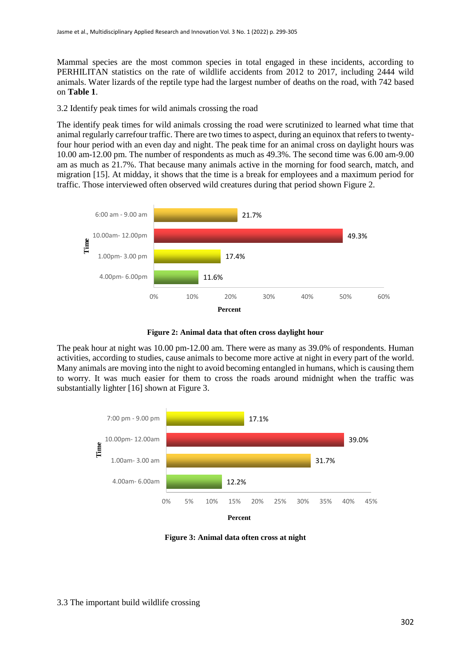Mammal species are the most common species in total engaged in these incidents, according to PERHILITAN statistics on the rate of wildlife accidents from 2012 to 2017, including 2444 wild animals. Water lizards of the reptile type had the largest number of deaths on the road, with 742 based on **Table 1**.

3.2 Identify peak times for wild animals crossing the road

The identify peak times for wild animals crossing the road were scrutinized to learned what time that animal regularly carrefour traffic. There are two times to aspect, during an equinox that refers to twentyfour hour period with an even day and night. The peak time for an animal cross on daylight hours was 10.00 am-12.00 pm. The number of respondents as much as 49.3%. The second time was 6.00 am-9.00 am as much as 21.7%. That because many animals active in the morning for food search, match, and migration [15]. At midday, it shows that the time is a break for employees and a maximum period for traffic. Those interviewed often observed wild creatures during that period shown Figure 2.





The peak hour at night was 10.00 pm-12.00 am. There were as many as 39.0% of respondents. Human activities, according to studies, cause animals to become more active at night in every part of the world. Many animals are moving into the night to avoid becoming entangled in humans, which is causing them to worry. It was much easier for them to cross the roads around midnight when the traffic was substantially lighter [16] shown at Figure 3.



**Figure 3: Animal data often cross at night**

#### 3.3 The important build wildlife crossing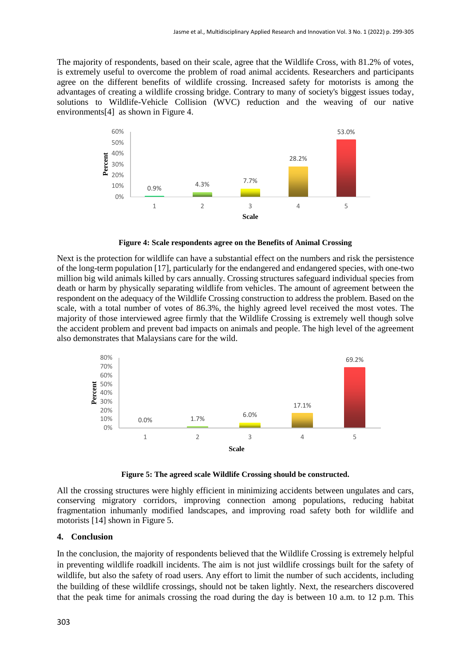The majority of respondents, based on their scale, agree that the Wildlife Cross, with 81.2% of votes, is extremely useful to overcome the problem of road animal accidents. Researchers and participants agree on the different benefits of wildlife crossing. Increased safety for motorists is among the advantages of creating a wildlife crossing bridge. Contrary to many of society's biggest issues today, solutions to Wildlife-Vehicle Collision (WVC) reduction and the weaving of our native environments[4] as shown in Figure 4.



**Figure 4: Scale respondents agree on the Benefits of Animal Crossing**

Next is the protection for wildlife can have a substantial effect on the numbers and risk the persistence of the long-term population [17], particularly for the endangered and endangered species, with one-two million big wild animals killed by cars annually. Crossing structures safeguard individual species from death or harm by physically separating wildlife from vehicles. The amount of agreement between the respondent on the adequacy of the Wildlife Crossing construction to address the problem. Based on the scale, with a total number of votes of 86.3%, the highly agreed level received the most votes. The majority of those interviewed agree firmly that the Wildlife Crossing is extremely well though solve the accident problem and prevent bad impacts on animals and people. The high level of the agreement also demonstrates that Malaysians care for the wild.



**Figure 5: The agreed scale Wildlife Crossing should be constructed.**

All the crossing structures were highly efficient in minimizing accidents between ungulates and cars, conserving migratory corridors, improving connection among populations, reducing habitat fragmentation inhumanly modified landscapes, and improving road safety both for wildlife and motorists [14] shown in Figure 5.

#### **4. Conclusion**

In the conclusion, the majority of respondents believed that the Wildlife Crossing is extremely helpful in preventing wildlife roadkill incidents. The aim is not just wildlife crossings built for the safety of wildlife, but also the safety of road users. Any effort to limit the number of such accidents, including the building of these wildlife crossings, should not be taken lightly. Next, the researchers discovered that the peak time for animals crossing the road during the day is between 10 a.m. to 12 p.m. This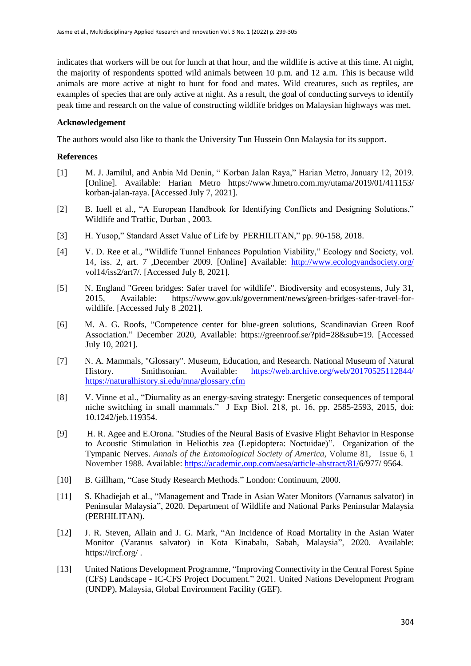indicates that workers will be out for lunch at that hour, and the wildlife is active at this time. At night, the majority of respondents spotted wild animals between 10 p.m. and 12 a.m. This is because wild animals are more active at night to hunt for food and mates. Wild creatures, such as reptiles, are examples of species that are only active at night. As a result, the goal of conducting surveys to identify peak time and research on the value of constructing wildlife bridges on Malaysian highways was met.

### **Acknowledgement**

The authors would also like to thank the University Tun Hussein Onn Malaysia for its support.

## **References**

- [1] M. J. Jamilul, and Anbia Md Denin, " Korban Jalan Raya," Harian Metro, January 12, 2019. [Online]. Available: Harian Metro <https://www.hmetro.com.my/utama/2019/01/411153/> korban-jalan-raya. [Accessed July 7, 2021].
- [2] B. Iuell et al., "A European Handbook for Identifying Conflicts and Designing Solutions," Wildlife and Traffic, Durban , 2003.
- [3] H. Yusop," Standard Asset Value of Life by PERHILITAN," pp. 90-158, 2018.
- [4] V. D. Ree et al., "Wildlife Tunnel Enhances Population Viability," Ecology and Society, vol. 14, iss. 2, art. 7 ,December 2009. [Online] Available: <http://www.ecologyandsociety.org/> vol14/iss2/art7/. [Accessed July 8, 2021].
- [5] N. England "Green bridges: Safer travel for wildlife". Biodiversity and ecosystems, July 31, 2015, Available: https://www.gov.uk/government/news/green-bridges-safer-travel-forwildlife. [Accessed July 8 ,2021].
- [6] M. A. G. Roofs, "Competence center for blue-green solutions, Scandinavian Green Roof Association." December 2020, Available: https://greenroof.se/?pid=28&sub=19. [Accessed July 10, 2021].
- [7] N. A. Mammals, "Glossary". Museum, Education, and Research. National Museum of Natural History. Smithsonian. Available: [https://web.archive.org/web/20170525112844/](https://web.archive.org/web/20170525112844/%20https:/naturalhistory.si.edu/mna/glossary.cfm)  [https://naturalhistory.si.edu/mna/glossary.cfm](https://web.archive.org/web/20170525112844/%20https:/naturalhistory.si.edu/mna/glossary.cfm)
- [8] V. Vinne et al., "Diurnality as an energy-saving strategy: Energetic consequences of temporal niche switching in small mammals." J Exp Biol. 218, pt. 16, pp. 2585-2593, 2015, doi: 10.1242/jeb.119354.
- [9] H. R. Agee and E.Orona. "Studies of the Neural Basis of Evasive Flight Behavior in Response to Acoustic Stimulation in Heliothis zea (Lepidoptera: Noctuidae)". Organization of the Tympanic Nerves. *Annals of the Entomological Society of America*, Volume 81, Issue 6, 1 November 1988. Available: [https://academic.oup.com/aesa/article-abstract/81/6](https://academic.oup.com/aesa/article-abstract/81/)/977/ 9564.
- [10] B. Gillham, "Case Study Research Methods." London: Continuum, 2000.
- [11] S. Khadiejah et al., "Management and Trade in Asian Water Monitors (Varnanus salvator) in Peninsular Malaysia", 2020. Department of Wildlife and National Parks Peninsular Malaysia (PERHILITAN).
- [12] J. R. Steven, Allain and J. G. Mark, "An Incidence of Road Mortality in the Asian Water Monitor (Varanus salvator) in Kota Kinabalu, Sabah, Malaysia", 2020. Available: https://ircf.org/ .
- [13] United Nations Development Programme, "Improving Connectivity in the Central Forest Spine (CFS) Landscape - IC-CFS Project Document." 2021. United Nations Development Program (UNDP), Malaysia, Global Environment Facility (GEF).